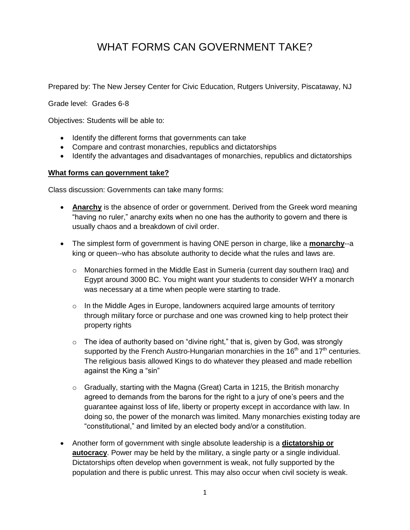## WHAT FORMS CAN GOVERNMENT TAKE?

Prepared by: The New Jersey Center for Civic Education, Rutgers University, Piscataway, NJ

Grade level: Grades 6-8

Objectives: Students will be able to:

- Identify the different forms that governments can take
- Compare and contrast monarchies, republics and dictatorships
- Identify the advantages and disadvantages of monarchies, republics and dictatorships

## **What forms can government take?**

Class discussion: Governments can take many forms:

- **Anarchy** is the absence of order or government. Derived from the Greek word meaning "having no ruler," anarchy exits when no one has the authority to govern and there is usually chaos and a breakdown of civil order.
- The simplest form of government is having ONE person in charge, like a **monarchy**--a king or queen--who has absolute authority to decide what the rules and laws are.
	- $\circ$  Monarchies formed in the Middle East in Sumeria (current day southern Iraq) and Egypt around 3000 BC. You might want your students to consider WHY a monarch was necessary at a time when people were starting to trade.
	- $\circ$  In the Middle Ages in Europe, landowners acquired large amounts of territory through military force or purchase and one was crowned king to help protect their property rights
	- $\circ$  The idea of authority based on "divine right," that is, given by God, was strongly supported by the French Austro-Hungarian monarchies in the  $16<sup>th</sup>$  and  $17<sup>th</sup>$  centuries. The religious basis allowed Kings to do whatever they pleased and made rebellion against the King a "sin"
	- $\circ$  Gradually, starting with the Magna (Great) Carta in 1215, the British monarchy agreed to demands from the barons for the right to a jury of one's peers and the guarantee against loss of life, liberty or property except in accordance with law. In doing so, the power of the monarch was limited. Many monarchies existing today are "constitutional," and limited by an elected body and/or a constitution.
- Another form of government with single absolute leadership is a **dictatorship or autocracy**. Power may be held by the military, a single party or a single individual. Dictatorships often develop when government is weak, not fully supported by the population and there is public unrest. This may also occur when civil society is weak.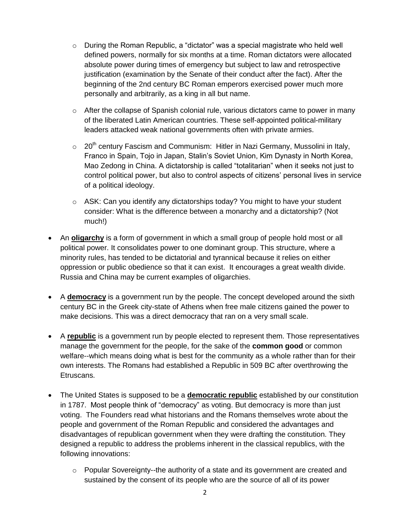- $\circ$  During the Roman Republic, a "dictator" was a special magistrate who held well defined powers, normally for six months at a time. Roman dictators were allocated absolute power during times of emergency but subject to law and retrospective justification (examination by the Senate of their conduct after the fact). After the beginning of the 2nd century BC Roman emperors exercised power much more personally and arbitrarily, as a king in all but name.
- o After the collapse of Spanish colonial rule, various dictators came to power in many of the liberated Latin American countries. These self-appointed political-military leaders attacked weak national governments often with private armies.
- $\circ$  20<sup>th</sup> century Fascism and Communism: Hitler in Nazi Germany, Mussolini in Italy, Franco in Spain, Tojo in Japan, Stalin's Soviet Union, Kim Dynasty in North Korea, Mao Zedong in China. A dictatorship is called "totalitarian" when it seeks not just to control political power, but also to control aspects of citizens' personal lives in service of a political ideology.
- $\circ$  ASK: Can you identify any dictatorships today? You might to have your student consider: What is the difference between a monarchy and a dictatorship? (Not much!)
- An **oligarchy** is a form of government in which a small group of people hold most or all political power. It consolidates power to one dominant group. This structure, where a minority rules, has tended to be dictatorial and tyrannical because it relies on either oppression or public obedience so that it can exist. It encourages a great wealth divide. Russia and China may be current examples of oligarchies.
- A **democracy** is a government run by the people. The concept developed around the sixth century BC in the Greek city-state of Athens when free male citizens gained the power to make decisions. This was a direct democracy that ran on a very small scale.
- A **republic** is a government run by people elected to represent them. Those representatives manage the government for the people, for the sake of the **common good** or common welfare--which means doing what is best for the community as a whole rather than for their own interests. The Romans had established a Republic in 509 BC after overthrowing the Etruscans.
- The United States is supposed to be a **democratic republic** established by our constitution in 1787. Most people think of "democracy" as voting. But democracy is more than just voting. The Founders read what historians and the Romans themselves wrote about the people and government of the Roman Republic and considered the advantages and disadvantages of republican government when they were drafting the constitution. They designed a republic to address the problems inherent in the classical republics, with the following innovations:
	- $\circ$  Popular Sovereignty--the authority of a state and its government are created and sustained by the consent of its people who are the source of all of its power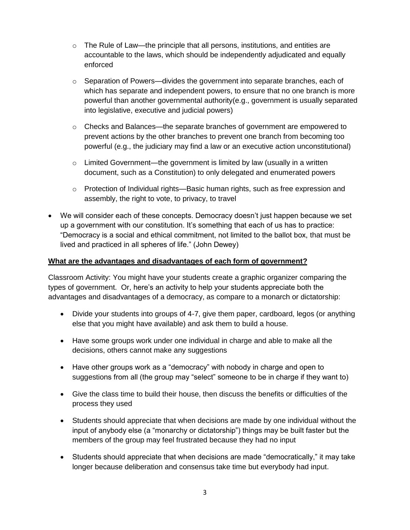- $\circ$  The Rule of Law—the principle that all persons, institutions, and entities are accountable to the laws, which should be independently adjudicated and equally enforced
- $\circ$  Separation of Powers—divides the government into separate branches, each of which has separate and independent powers, to ensure that no one branch is more powerful than another governmental authority(e.g., government is usually separated into legislative, executive and judicial powers)
- $\circ$  Checks and Balances—the separate branches of government are empowered to prevent actions by the other branches to prevent one branch from becoming too powerful (e.g., the judiciary may find a law or an executive action unconstitutional)
- $\circ$  Limited Government—the government is limited by law (usually in a written document, such as a Constitution) to only delegated and enumerated powers
- $\circ$  Protection of Individual rights—Basic human rights, such as free expression and assembly, the right to vote, to privacy, to travel
- We will consider each of these concepts. Democracy doesn't just happen because we set up a government with our constitution. It's something that each of us has to practice: "Democracy is a social and ethical commitment, not limited to the ballot box, that must be lived and practiced in all spheres of life." (John Dewey)

## **What are the advantages and disadvantages of each form of government?**

Classroom Activity: You might have your students create a graphic organizer comparing the types of government. Or, here's an activity to help your students appreciate both the advantages and disadvantages of a democracy, as compare to a monarch or dictatorship:

- Divide your students into groups of 4-7, give them paper, cardboard, legos (or anything else that you might have available) and ask them to build a house.
- Have some groups work under one individual in charge and able to make all the decisions, others cannot make any suggestions
- Have other groups work as a "democracy" with nobody in charge and open to suggestions from all (the group may "select" someone to be in charge if they want to)
- Give the class time to build their house, then discuss the benefits or difficulties of the process they used
- Students should appreciate that when decisions are made by one individual without the input of anybody else (a "monarchy or dictatorship") things may be built faster but the members of the group may feel frustrated because they had no input
- Students should appreciate that when decisions are made "democratically," it may take longer because deliberation and consensus take time but everybody had input.